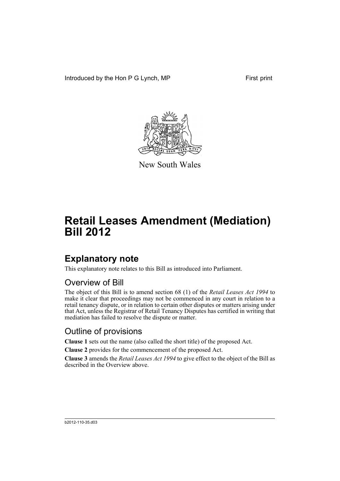Introduced by the Hon P G Lynch, MP First print



New South Wales

# **Retail Leases Amendment (Mediation) Bill 2012**

## **Explanatory note**

This explanatory note relates to this Bill as introduced into Parliament.

#### Overview of Bill

The object of this Bill is to amend section 68 (1) of the *Retail Leases Act 1994* to make it clear that proceedings may not be commenced in any court in relation to a retail tenancy dispute, or in relation to certain other disputes or matters arising under that Act, unless the Registrar of Retail Tenancy Disputes has certified in writing that mediation has failed to resolve the dispute or matter.

#### Outline of provisions

**Clause 1** sets out the name (also called the short title) of the proposed Act.

**Clause 2** provides for the commencement of the proposed Act.

**Clause 3** amends the *Retail Leases Act 1994* to give effect to the object of the Bill as described in the Overview above.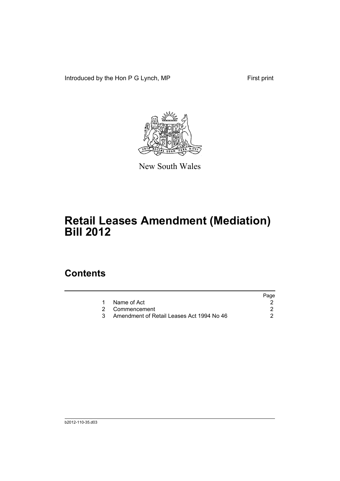Introduced by the Hon P G Lynch, MP First print



New South Wales

# **Retail Leases Amendment (Mediation) Bill 2012**

### **Contents**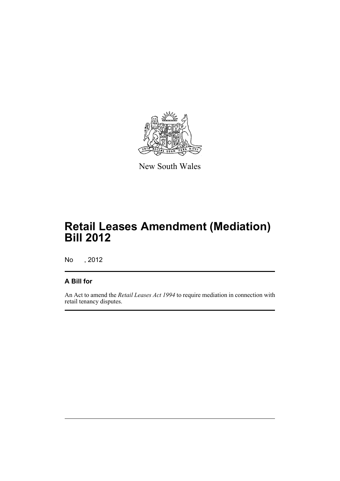

New South Wales

# **Retail Leases Amendment (Mediation) Bill 2012**

No , 2012

#### **A Bill for**

An Act to amend the *Retail Leases Act 1994* to require mediation in connection with retail tenancy disputes.